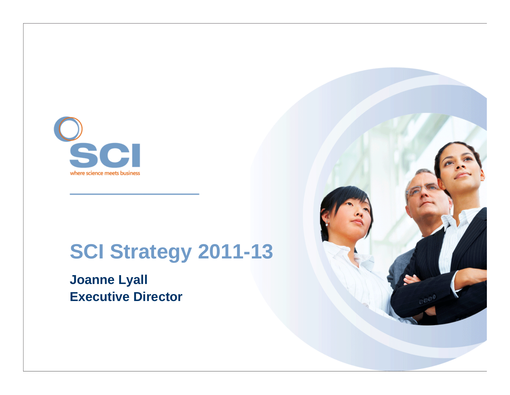

### **SCI Strategy 2011-13**

**Joanne Lyall Executive Director**

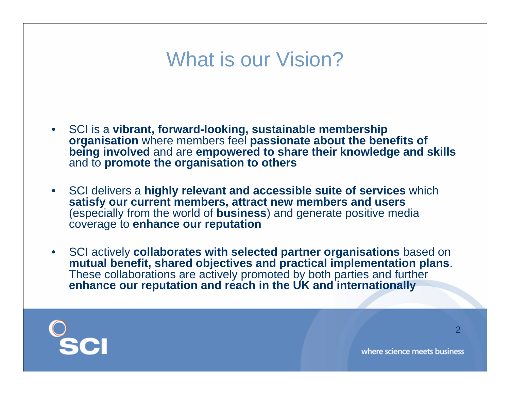### What is our Vision?

- SCI is a **vibrant, forward-looking, sustainable membership organisation** where members feel **passionate about the benefits of being involved** and are **empowered to share their knowledge and skills**  and to **promote the organisation to others**
- SCI delivers a **highly relevant and accessible suite of services** which **satisfy our current members, attract new members and users**  (especially from the world of **business**) and generate positive media coverage to **enhance our reputation**
- SCI actively **collaborates with selected partner organisations** based on **mutual benefit, shared objectives and practical implementation plans**. These collaborations are actively promoted by both parties and further **enhance our reputation and reach in the UK and internationally**



2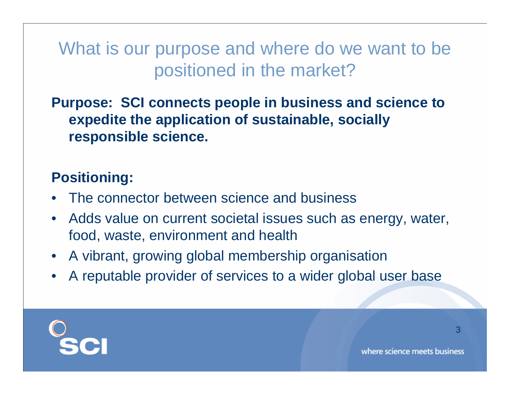What is our purpose and where do we want to be positioned in the market?

**Purpose: SCI connects people in business and science to expedite the application of sustainable, socially responsible science.**

### **Positioning:**

- The connector between science and business
- Adds value on current societal issues such as energy, water, food, waste, environment and health
- A vibrant, growing global membership organisation
- A reputable provider of services to a wider global user base



3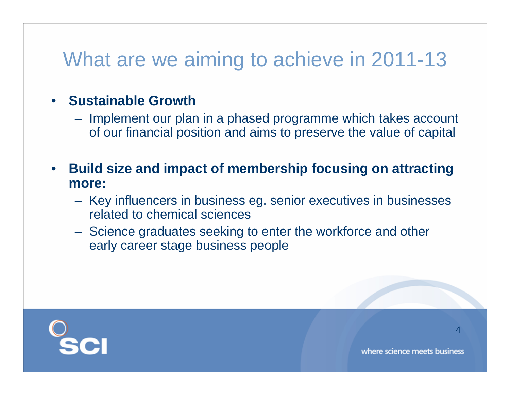# What are we aiming to achieve in 2011-13

#### • **Sustainable Growth**

- Implement our plan in a phased programme which takes account of our financial position and aims to preserve the value of capital
- **Build size and impact of membership focusing on attracting more:**
	- Key influencers in business eg. senior executives in businesses related to chemical sciences
	- Science graduates seeking to enter the workforce and other early career stage business people

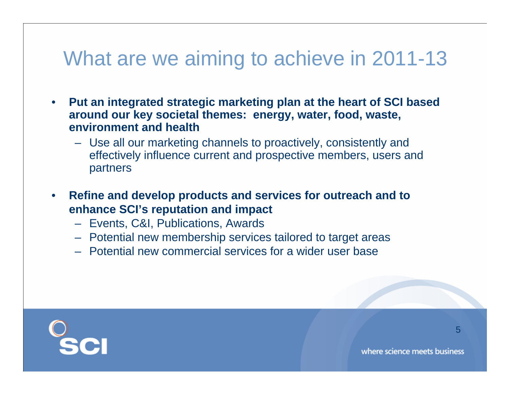### What are we aiming to achieve in 2011-13

- **Put an integrated strategic marketing plan at the heart of SCI based around our key societal themes: energy, water, food, waste, environment and health**
	- Use all our marketing channels to proactively, consistently and effectively influence current and prospective members, users and partners
- **Refine and develop products and services for outreach and to enhance SCI's reputation and impact**
	- Events, C&I, Publications, Awards
	- Potential new membership services tailored to target areas
	- Potential new commercial services for a wider user base

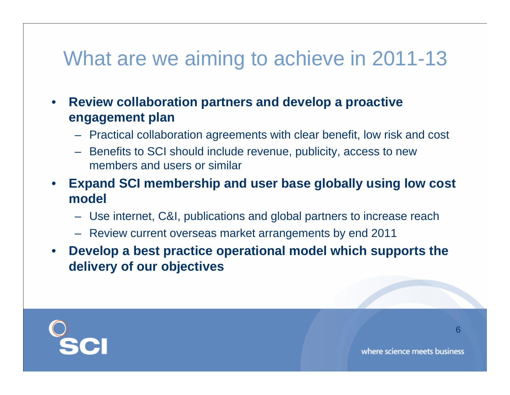## What are we aiming to achieve in 2011-13

- **Review collaboration partners and develop a proactive engagement plan**
	- Practical collaboration agreements with clear benefit, low risk and cost
	- Benefits to SCI should include revenue, publicity, access to new members and users or similar
- **Expand SCI membership and user base globally using low cost model**
	- Use internet, C&I, publications and global partners to increase reach
	- Review current overseas market arrangements by end 2011
- **Develop a best practice operational model which supports the delivery of our objectives**